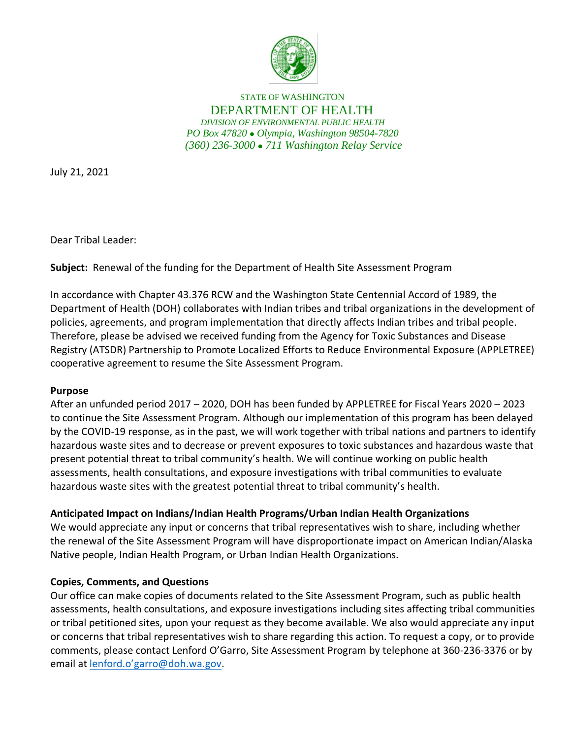

STATE OF WASHINGTON DEPARTMENT OF HEALTH *DIVISION OF ENVIRONMENTAL PUBLIC HEALTH PO Box 47820* ⚫ *Olympia, Washington 98504-7820 (360) 236-3000* ⚫ *711 Washington Relay Service*

July 21, 2021

Dear Tribal Leader:

**Subject:** Renewal of the funding for the Department of Health Site Assessment Program

In accordance with Chapter 43.376 RCW and the Washington State Centennial Accord of 1989, the Department of Health (DOH) collaborates with Indian tribes and tribal organizations in the development of policies, agreements, and program implementation that directly affects Indian tribes and tribal people. Therefore, please be advised we received funding from the Agency for Toxic Substances and Disease Registry (ATSDR) Partnership to Promote Localized Efforts to Reduce Environmental Exposure (APPLETREE) cooperative agreement to resume the Site Assessment Program.

## **Purpose**

After an unfunded period 2017 – 2020, DOH has been funded by APPLETREE for Fiscal Years 2020 – 2023 to continue the Site Assessment Program. Although our implementation of this program has been delayed by the COVID-19 response, as in the past, we will work together with tribal nations and partners to identify hazardous waste sites and to decrease or prevent exposures to toxic substances and hazardous waste that present potential threat to tribal community's health. We will continue working on public health assessments, health consultations, and exposure investigations with tribal communities to evaluate hazardous waste sites with the greatest potential threat to tribal community's health.

## **Anticipated Impact on Indians/Indian Health Programs/Urban Indian Health Organizations**

We would appreciate any input or concerns that tribal representatives wish to share, including whether the renewal of the Site Assessment Program will have disproportionate impact on American Indian/Alaska Native people, Indian Health Program, or Urban Indian Health Organizations.

## **Copies, Comments, and Questions**

Our office can make copies of documents related to the Site Assessment Program, such as public health assessments, health consultations, and exposure investigations including sites affecting tribal communities or tribal petitioned sites, upon your request as they become available. We also would appreciate any input or concerns that tribal representatives wish to share regarding this action. To request a copy, or to provide comments, please contact Lenford O'Garro, Site Assessment Program by telephone at 360-236-3376 or by email at lenford.o'garro[@doh.wa.gov.](mailto:lenford.o)